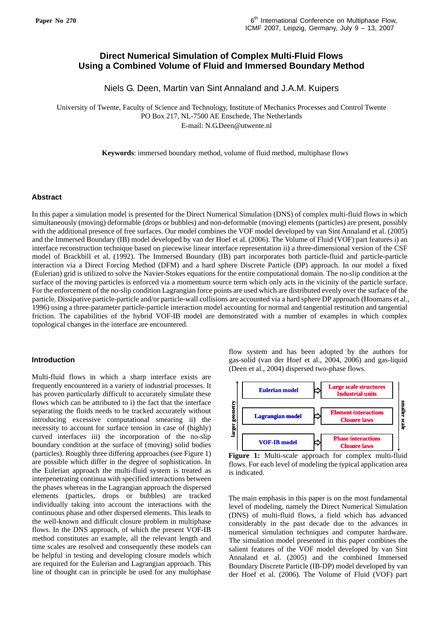# **Direct Numerical Simulation of Complex Multi-Fluid Flows Using a Combined Volume of Fluid and Immersed Boundary Method**

Niels G. Deen, Martin van Sint Annaland and J.A.M. Kuipers

University of Twente, Faculty of Science and Technology, Institute of Mechanics Processes and Control Twente PO Box 217, NL-7500 AE Enschede, The Netherlands E-mail: N.G.Deen@utwente.nl

**Keywords**: immersed boundary method, volume of fluid method, multiphase flows

## **Abstract**

In this paper a simulation model is presented for the Direct Numerical Simulation (DNS) of complex multi-fluid flows in which simultaneously (moving) deformable (drops or bubbles) and non-deformable (moving) elements (particles) are present, possibly with the additional presence of free surfaces. Our model combines the VOF model developed by van Sint Annaland et al. (2005) and the Immersed Boundary (IB) model developed by van der Hoef et al. (2006). The Volume of Fluid (VOF) part features i) an interface reconstruction technique based on piecewise linear interface representation ii) a three-dimensional version of the CSF model of Brackbill et al. (1992). The Immersed Boundary (IB) part incorporates both particle-fluid and particle-particle interaction via a Direct Forcing Method (DFM) and a hard sphere Discrete Particle (DP) approach. In our model a fixed (Eulerian) grid is utilized to solve the Navier-Stokes equations for the entire computational domain. The no-slip condition at the surface of the moving particles is enforced via a momentum source term which only acts in the vicinity of the particle surface. For the enforcement of the no-slip condition Lagrangian force points are used which are distributed evenly over the surface of the particle. Dissipative particle-particle and/or particle-wall collisions are accounted via a hard sphere DP approach (Hoomans et al., 1996) using a three-parameter particle-particle interaction model accounting for normal and tangential restitution and tangential friction. The capabilities of the hybrid VOF-IB model are demonstrated with a number of examples in which complex topological changes in the interface are encountered.

## **Introduction**

Multi-fluid flows in which a sharp interface exists are frequently encountered in a variety of industrial processes. It has proven particularly difficult to accurately simulate these flows which can be attributed to i) the fact that the interface separating the fluids needs to be tracked accurately without introducing excessive computational smearing ii) the necessity to account for surface tension in case of (highly) curved interfaces iii) the incorporation of the no-slip boundary condition at the surface of (moving) solid bodies (particles). Roughly three differing approaches (see Figure 1) are possible which differ in the degree of sophistication. In the Eulerian approach the multi-fluid system is treated as interpenetrating continua with specified interactions between the phases whereas in the Lagrangian approach the dispersed elements (particles, drops or bubbles) are tracked individually taking into account the interactions with the continuous phase and other dispersed elements. This leads to the well-known and difficult closure problem in multiphase flows. In the DNS approach, of which the present VOF-IB method constitutes an example, all the relevant length and time scales are resolved and consequently these models can be helpful in testing and developing closure models which are required for the Eulerian and Lagrangian approach. This line of thought can in principle be used for any multiphase

flow system and has been adopted by the authors for gas-solid (van der Hoef et al., 2004, 2006) and gas-liquid (Deen et al., 2004) dispersed two-phase flows.



**Figure 1:** Multi-scale approach for complex multi-fluid flows. For each level of modeling the typical application area is indicated.

The main emphasis in this paper is on the most fundamental level of modeling, namely the Direct Numerical Simulation (DNS) of multi-fluid flows, a field which has advanced considerably in the past decade due to the advances in numerical simulation techniques and computer hardware. The simulation model presented in this paper combines the salient features of the VOF model developed by van Sint Annaland et al. (2005) and the combined Immersed Boundary Discrete Particle (IB-DP) model developed by van der Hoef et al. (2006). The Volume of Fluid (VOF) part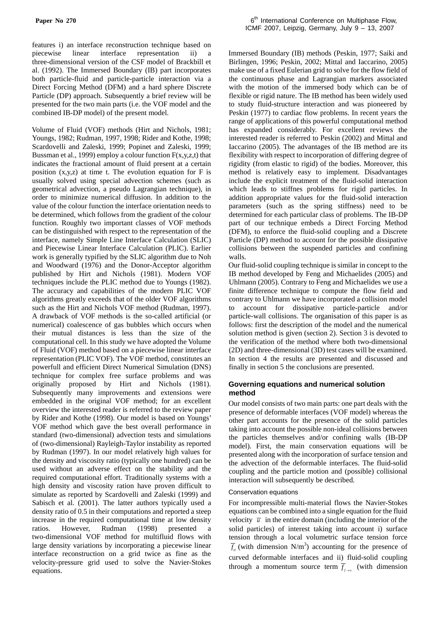features i) an interface reconstruction technique based on piecewise linear interface representation ii) a three-dimensional version of the CSF model of Brackbill et al. (1992). The Immersed Boundary (IB) part incorporates both particle-fluid and particle-particle interaction via a Direct Forcing Method (DFM) and a hard sphere Discrete Particle (DP) approach. Subsequently a brief review will be presented for the two main parts (i.e. the VOF model and the combined IB-DP model) of the present model.

Volume of Fluid (VOF) methods (Hirt and Nichols, 1981; Youngs, 1982; Rudman, 1997, 1998; Rider and Kothe, 1998; Scardovelli and Zaleski, 1999; Popinet and Zaleski, 1999; Bussman et al., 1999) employ a colour function  $F(x,y,z,t)$  that indicates the fractional amount of fluid present at a certain position  $(x,y,z)$  at time t. The evolution equation for F is usually solved using special advection schemes (such as geometrical advection, a pseudo Lagrangian technique), in order to minimize numerical diffusion. In addition to the value of the colour function the interface orientation needs to be determined, which follows from the gradient of the colour function. Roughly two important classes of VOF methods can be distinguished with respect to the representation of the interface, namely Simple Line Interface Calculation (SLIC) and Piecewise Linear Interface Calculation (PLIC). Earlier work is generally typified by the SLIC algorithm due to Noh and Woodward (1976) and the Donor-Acceptor algorithm published by Hirt and Nichols (1981). Modern VOF techniques include the PLIC method due to Youngs (1982). The accuracy and capabilities of the modern PLIC VOF algorithms greatly exceeds that of the older VOF algorithms such as the Hirt and Nichols VOF method (Rudman, 1997). A drawback of VOF methods is the so-called artificial (or numerical) coalescence of gas bubbles which occurs when their mutual distances is less than the size of the computational cell. In this study we have adopted the Volume of Fluid (VOF) method based on a piecewise linear interface representation (PLIC VOF). The VOF method, constitutes an powerfull and efficient Direct Numerical Simulation (DNS) technique for complex free surface problems and was originally proposed by Hirt and Nichols (1981). Subsequently many improvements and extensions were embedded in the original VOF method; for an excellent overview the interested reader is referred to the review paper by Rider and Kothe (1998). Our model is based on Youngs' VOF method which gave the best overall performance in standard (two-dimensional) advection tests and simulations of (two-dimensional) Rayleigh-Taylor instability as reported by Rudman (1997). In our model relatively high values for the density and viscosity ratio (typically one hundred) can be used without an adverse effect on the stability and the required computational effort. Traditionally systems with a high density and viscosity ration have proven difficult to simulate as reported by Scardovelli and Zaleski (1999) and Sabisch et al. (2001). The latter authors typically used a density ratio of 0.5 in their computations and reported a steep increase in the required computational time at low density<br>ratios. However, Rudman (1998) presented a ratios. However, Rudman (1998) presented a two-dimensional VOF method for multifluid flows with large density variations by incorporating a piecewise linear interface reconstruction on a grid twice as fine as the velocity-pressure grid used to solve the Navier-Stokes equations.

Immersed Boundary (IB) methods (Peskin, 1977; Saiki and Birlingen, 1996; Peskin, 2002; Mittal and Iaccarino, 2005) make use of a fixed Eulerian grid to solve for the flow field of the continuous phase and Lagrangian markers associated with the motion of the immersed body which can be of flexible or rigid nature. The IB method has been widely used to study fluid-structure interaction and was pioneered by Peskin (1977) to cardiac flow problems. In recent years the range of applications of this powerful computational method has expanded considerably. For excellent reviews the interested reader is referred to Peskin (2002) and Mittal and Iaccarino (2005). The advantages of the IB method are its flexibility with respect to incorporation of differing degree of rigidity (from elastic to rigid) of the bodies. Moreover, this method is relatively easy to implement. Disadvantages include the explicit treatment of the fluid-solid interaction which leads to stiffnes problems for rigid particles. In addition appropriate values for the fluid-solid interaction parameters (such as the spring stiffness) need to be determined for each particular class of problems. The IB-DP part of our technique embeds a Direct Forcing Method (DFM), to enforce the fluid-solid coupling and a Discrete Particle (DP) method to account for the possible dissipative collisions between the suspended particles and confining walls.

Our fluid-solid coupling technique is similar in concept to the IB method developed by Feng and Michaelides (2005) and Uhlmann (2005). Contrary to Feng and Michaelides we use a finite difference technique to compute the flow field and contrary to Uhlmann we have incorporated a collision model to account for dissipative particle-particle and/or particle-wall collisions. The organisation of this paper is as follows: first the description of the model and the numerical solution method is given (section 2). Section 3 is devoted to the verification of the method where both two-dimensional (2D) and three-dimensional (3D) test cases will be examined. In section 4 the results are presented and discussed and finally in section 5 the conclusions are presented.

## **Governing equations and numerical solution method**

Our model consists of two main parts: one part deals with the presence of deformable interfaces (VOF model) whereas the other part accounts for the presence of the solid particles taking into account the possible non-ideal collisions between the particles themselves and/or confining walls (IB-DP model). First, the main conservation equations will be presented along with the incorporation of surface tension and the advection of the deformable interfaces. The fluid-solid coupling and the particle motion and (possible) collisional interaction will subsequently be described.

## Conservation equations

For incompressible multi-material flows the Navier-Stokes equations can be combined into a single equation for the fluid velocity  $\overline{u}$  in the entire domain (including the interior of the solid particles) of interest taking into account i) surface tension through a local volumetric surface tension force  $\overline{f}_{\sigma}$  (with dimension N/m<sup>3</sup>) accounting for the presence of curved deformable interfaces and ii) fluid-solid coupling through a momentum source term  $\overline{f}_{f \to s}$  (with dimension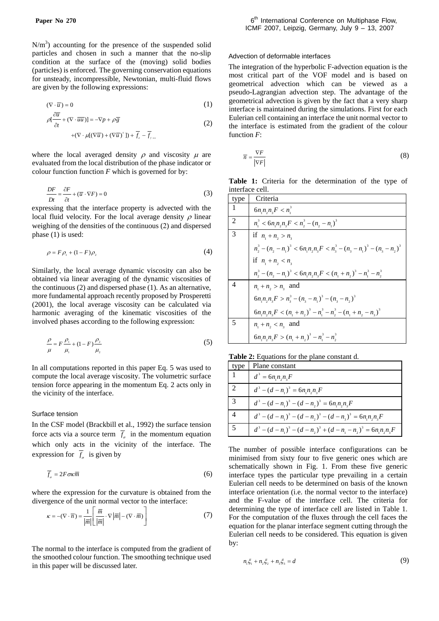$N/m<sup>3</sup>$ ) accounting for the presence of the suspended solid particles and chosen in such a manner that the no-slip condition at the surface of the (moving) solid bodies (particles) is enforced. The governing conservation equations for unsteady, incompressible, Newtonian, multi-fluid flows are given by the following expressions:

$$
(\nabla \cdot \overline{u}) = 0 \tag{1}
$$

$$
\rho \left[ \frac{\partial \overline{u}}{\partial t} + (\nabla \cdot \overline{u} \overline{u}) \right] = -\nabla p + \rho \overline{g}
$$
\n
$$
+ (\nabla \cdot \mu [(\nabla \overline{u}) + (\nabla \overline{u})^T]) + \overline{f}_s - \overline{f}_{t-s}
$$
\n(2)

where the local averaged density  $\rho$  and viscosity  $\mu$  are evaluated from the local distribution of the phase indicator or colour function function *F* which is governed for by:

$$
\frac{DF}{Dt} = \frac{\partial F}{\partial t} + (\overline{u} \cdot \nabla F) = 0
$$
 (3)

expressing that the interface property is advected with the local fluid velocity. For the local average density  $\rho$  linear weighing of the densities of the continuous (2) and dispersed phase (1) is used:

$$
\rho = F \rho_1 + (1 - F) \rho_2 \tag{4}
$$

Similarly, the local average dynamic viscosity can also be obtained via linear averaging of the dynamic viscosities of the continuous (2) and dispersed phase (1). As an alternative, more fundamental approach recently proposed by Prosperetti (2001), the local average viscosity can be calculated via harmonic averaging of the kinematic viscosities of the involved phases according to the following expression:

$$
\frac{\rho}{\mu} = F \frac{\rho_1}{\mu_1} + (1 - F) \frac{\rho_2}{\mu_2}
$$
\n(5)

In all computations reported in this paper Eq. 5 was used to compute the local average viscosity. The volumetric surface tension force appearing in the momentum Eq. 2 acts only in the vicinity of the interface.

## Surface tension

In the CSF model (Brackbill et al., 1992) the surface tension force acts via a source term  $\overline{f}_\sigma$  in the momentum equation which only acts in the vicinity of the interface. The expression for  $\overline{f}_\sigma$  is given by

$$
\overline{f}_{\sigma} = 2F\sigma\kappa\overline{m} \tag{6}
$$

where the expression for the curvature is obtained from the divergence of the unit normal vector to the interface:

$$
\kappa = -(\nabla \cdot \overline{n}) = \frac{1}{|\overline{m}|} \left[ \frac{\overline{m}}{|\overline{m}|} \cdot \nabla |\overline{m}| - (\nabla \cdot \overline{m}) \right]
$$
(7)

The normal to the interface is computed from the gradient of the smoothed colour function. The smoothing technique used in this paper will be discussed later.

#### Advection of deformable interfaces

The integration of the hyperbolic F-advection equation is the most critical part of the VOF model and is based on geometrical advection which can be viewed as a pseudo-Lagrangian advection step. The advantage of the geometrical advection is given by the fact that a very sharp interface is maintained during the simulations. First for each Eulerian cell containing an interface the unit normal vector to the interface is estimated from the gradient of the colour function *F*:

$$
\overline{n} = \frac{\nabla F}{|\nabla F|} \tag{8}
$$

**Table 1:** Criteria for the determination of the type of interface cell.

| tvpe | Criteria                                                                                            |
|------|-----------------------------------------------------------------------------------------------------|
|      | $6n_1n_2n_3F < n_1^3$                                                                               |
| 2    | $n_i^3 < 6n_i n_i n_i F < n_i^3 - (n_i - n_i)^3$                                                    |
| 3    | if $n_1 + n_2 > n_3$                                                                                |
|      | $n_1^3 - (n_2 - n_1)^3 < 6n_1n_2n_3F < n_3^3 - (n_3 - n_1)^3 - (n_3 - n_2)^3$                       |
|      | if $n_1 + n_2 < n_3$                                                                                |
|      | $n_{1}^{3} - (n_{1} - n_{1})^{3} < 6n_{1}n_{2}n_{3}F < (n_{1} + n_{2})^{3} - n_{1}^{3} - n_{2}^{3}$ |
|      | $n_1 + n_2 > n_3$ and                                                                               |
|      | $6n_{1}n_{2}n_{3}F > n_{3}^{3}-(n_{3}-n_{1})^{3}-(n_{3}-n_{2})^{3}$                                 |
|      | $6n_1n_2n_3F < (n_1 + n_2)^3 - n_1^3 - n_2^3 - (n_1 + n_2 - n_2)^3$                                 |
|      | $n_1 + n_2 < n_3$ and                                                                               |
|      | $6n_1n_2n_3F > (n_1 + n_2)^3 - n_1^3 - n_2^3$                                                       |

**Table 2:** Equations for the plane constant d.

| type | Plane constant                                                                            |
|------|-------------------------------------------------------------------------------------------|
|      | $d^3 = 6n_1n_2n_3F$                                                                       |
| -2   | $d^{3} - (d - n_{1})^{3} = 6n_{1}n_{2}n_{3}F$                                             |
| -3   | $d^{3} - (d - n_{1})^{3} - (d - n_{2})^{3} = 6n_{1}n_{2}n_{3}F$                           |
|      | $d^{3} - (d - n_{1})^{3} - (d - n_{2})^{3} - (d - n_{3})^{3} = 6n_{1}n_{2}n_{3}F$         |
|      | $d^{3} - (d - n_{1})^{3} - (d - n_{2})^{3} + (d - n_{1} - n_{2})^{3} = 6n_{1}n_{2}n_{3}F$ |

The number of possible interface configurations can be minimised from sixty four to five generic ones which are schematically shown in Fig. 1. From these five generic interface types the particular type prevailing in a certain Eulerian cell needs to be determined on basis of the known interface orientation (i.e. the normal vector to the interface) and the F-value of the interface cell. The criteria for determining the type of interface cell are listed in Table 1. For the computation of the fluxes through the cell faces the equation for the planar interface segment cutting through the Eulerian cell needs to be considered. This equation is given by:

$$
n_1\xi_1 + n_2\xi_2 + n_3\xi_3 = d \tag{9}
$$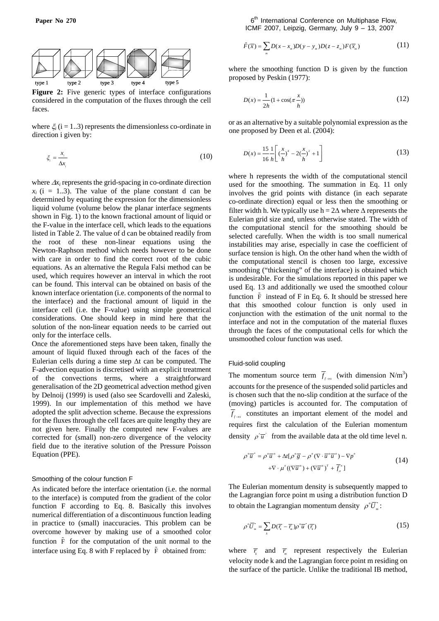

**Figure 2:** Five generic types of interface configurations considered in the computation of the fluxes through the cell faces.

where  $\xi$  (i = 1..3) represents the dimensionless co-ordinate in direction i given by:

$$
\xi_i = \frac{x_i}{\Delta x_i} \tag{10}
$$

where  $\Delta x_i$  represents the grid-spacing in co-ordinate direction  $x_i$  (i = 1..3). The value of the plane constant d can be determined by equating the expression for the dimensionless liquid volume (volume below the planar interface segments shown in Fig. 1) to the known fractional amount of liquid or the F-value in the interface cell, which leads to the equations listed in Table 2. The value of d can be obtained readily from the root of these non-linear equations using the Newton-Raphson method which needs however to be done with care in order to find the correct root of the cubic equations. As an alternative the Regula Falsi method can be used, which requires however an interval in which the root can be found. This interval can be obtained on basis of the known interface orientation (i.e. components of the normal to the interface) and the fractional amount of liquid in the interface cell (i.e. the F-value) using simple geometrical considerations. One should keep in mind here that the solution of the non-linear equation needs to be carried out only for the interface cells.

Once the aforementioned steps have been taken, finally the amount of liquid fluxed through each of the faces of the Eulerian cells during a time step Δt can be computed. The F-advection equation is discretised with an explicit treatment of the convections terms, where a straightforward generalisation of the 2D geometrical advection method given by Delnoij (1999) is used (also see Scardovelli and Zaleski, 1999). In our implementation of this method we have adopted the split advection scheme. Because the expressions for the fluxes through the cell faces are quite lengthy they are not given here. Finally the computed new F-values are corrected for (small) non-zero divergence of the velocity field due to the iterative solution of the Pressure Poisson Equation (PPE).

## Smoothing of the colour function F

As indicated before the interface orientation (i.e. the normal to the interface) is computed from the gradient of the color function F according to Eq. 8. Basically this involves numerical differentiation of a discontinuous function leading in practice to (small) inaccuracies. This problem can be overcome however by making use of a smoothed color function  $\tilde{F}$  for the computation of the unit normal to the interface using Eq. 8 with F replaced by  $\tilde{F}$  obtained from:

**Paper No 270** 6<sup>th</sup> International Conference on Multiphase Flow, ICMF 2007, Leipzig, Germany, July 9 – 13, 2007

$$
\tilde{F}(\overline{x}) = \sum_{m} D(x - x_m) D(y - y_m) D(z - z_m) F(\overline{x}_m)
$$
\n(11)

where the smoothing function D is given by the function proposed by Peskin (1977):

$$
D(x) = \frac{1}{2h}(1 + \cos(\pi \frac{x}{h}))
$$
\n(12)

or as an alternative by a suitable polynomial expression as the one proposed by Deen et al. (2004):

$$
D(x) = \frac{15}{16} \frac{1}{h} \left[ \left( \frac{x}{h} \right)^4 - 2 \left( \frac{x}{h} \right)^2 + 1 \right] \tag{13}
$$

where h represents the width of the computational stencil used for the smoothing. The summation in Eq. 11 only involves the grid points with distance (in each separate co-ordinate direction) equal or less then the smoothing or filter width h. We typically use  $h = 2\Delta$  where  $\Delta$  represents the Eulerian grid size and, unless otherwise stated. The width of the computational stencil for the smoothing should be selected carefully. When the width is too small numerical instabilities may arise, especially in case the coefficient of surface tension is high. On the other hand when the width of the computational stencil is chosen too large, excessive smoothing ("thickening" of the interface) is obtained which is undesirable. For the simulations reported in this paper we used Eq. 13 and additionally we used the smoothed colour function  $\tilde{F}$  instead of F in Eq. 6. It should be stressed here that this smoothed colour function is only used in conjunction with the estimation of the unit normal to the interface and not in the computation of the material fluxes through the faces of the computational cells for which the unsmoothed colour function was used.

#### Fluid-solid coupling

The momentum source term  $\overline{f}_{f \to s}$  (with dimension N/m<sup>3</sup>) accounts for the presence of the suspended solid particles and is chosen such that the no-slip condition at the surface of the (moving) particles is accounted for. The computation of  $\overline{f}_{f \to s}$  constitutes an important element of the model and requires first the calculation of the Eulerian momentum density  $\rho \overline{u}$  from the available data at the old time level n.

$$
\rho^n \overline{u}^* = \rho^n \overline{u}^n + \Delta t [\rho^n \overline{g} - \rho^n (\nabla \cdot \overline{u}^n \overline{u}^n) - \nabla p^n
$$
  
+ 
$$
\nabla \cdot \mu^n ((\nabla \overline{u}^n) + (\nabla \overline{u}^n)^T + \overline{f}_\sigma^n]
$$
 (14)

The Eulerian momentum density is subsequently mapped to the Lagrangian force point m using a distribution function D to obtain the Lagrangian momentum density  $\rho^n \overline{U}_n^*$ :

$$
\rho^{n}\overline{U}_{m}^{*}=\sum_{k}D(\overline{r}_{k}-\overline{r}_{m})\rho^{n}\overline{u}^{*}(\overline{r}_{k})
$$
\n(15)

where  $\overline{r_k}$  and  $\overline{r_m}$  represent respectively the Eulerian velocity node k and the Lagrangian force point m residing on the surface of the particle. Unlike the traditional IB method,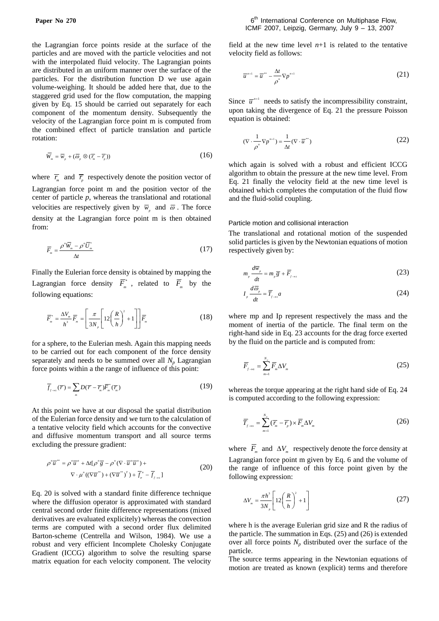the Lagrangian force points reside at the surface of the particles and are moved with the particle velocities and not with the interpolated fluid velocity. The Lagrangian points are distributed in an uniform manner over the surface of the particles. For the distribution function D we use again volume-weighing. It should be added here that, due to the staggered grid used for the flow computation, the mapping given by Eq. 15 should be carried out separately for each component of the momentum density. Subsequently the velocity of the Lagrangian force point m is computed from the combined effect of particle translation and particle rotation:

$$
\overline{W}_m = \overline{w}_p + (\overline{\omega}_p \otimes (\overline{r}_m - \overline{r}_p))
$$
\n(16)

where  $\overline{r}_m$  and  $\overline{r}_p$  respectively denote the position vector of Lagrangian force point m and the position vector of the center of particle *p*, whereas the translational and rotational velocities are respectively given by  $\overline{w}_n$  and  $\overline{\omega}$ . The force density at the Lagrangian force point m is then obtained from:

$$
\overline{F}_m = \frac{\rho^n \overline{W}_m - \rho^n \overline{U}_m^*}{\Delta t}
$$
\n(17)

Finally the Eulerian force density is obtained by mapping the Lagrangian force density  $\overline{F}_m^*$ , related to  $\overline{F}_m$  by the following equations:

$$
\overline{F}_m^* = \frac{\Delta V_m}{h^3} \overline{F}_m = \left[ \frac{\pi}{3N_p} \left[ 12 \left( \frac{R}{h} \right)^2 + 1 \right] \right] \overline{F}_m \tag{18}
$$

for a sphere, to the Eulerian mesh. Again this mapping needs to be carried out for each component of the force density separately and needs to be summed over all  $N_p$  Lagrangian force points within a the range of influence of this point:

$$
\overline{f}_{f \to s}(\overline{r}) = \sum_{m} D(\overline{r} - \overline{r}_{m}) \overline{F}_{m}^{*}(\overline{r}_{m})
$$
\n(19)

At this point we have at our disposal the spatial distribution of the Eulerian force density and we turn to the calculation of a tentative velocity field which accounts for the convective and diffusive momentum transport and all source terms excluding the pressure gradient:

$$
\rho^{n}\overline{u}^{n} = \rho^{n}\overline{u}^{n} + \Delta t[\rho^{n}\overline{g} - \rho^{n}(\nabla \cdot \overline{u}^{n}\overline{u}^{n}) +
$$
  
 
$$
\nabla \cdot \mu^{n}((\nabla \overline{u}^{n}) + (\nabla \overline{u}^{n})^{n}) + \overline{f}_{\sigma}^{n} - \overline{f}_{f \to s}]
$$
 (20)

Eq. 20 is solved with a standard finite difference technique where the diffusion operator is approximated with standard central second order finite difference representations (mixed derivatives are evaluated explicitely) whereas the convection terms are computed with a second order flux delimited Barton-scheme (Centrella and Wilson, 1984). We use a robust and very efficient Incomplete Cholesky Conjugate Gradient (ICCG) algorithm to solve the resulting sparse matrix equation for each velocity component. The velocity

field at the new time level  $n+1$  is related to the tentative velocity field as follows:

$$
\overline{u}^{n+1} = \overline{u}^{n+1} - \frac{\Delta t}{\rho^n} \nabla p^{n+1}
$$
 (21)

Since  $\overline{u}^{n+1}$  needs to satisfy the incompressibility constraint, upon taking the divergence of Eq. 21 the pressure Poisson equation is obtained:

$$
(\nabla \cdot \frac{1}{\rho^n} \nabla p^{n+1}) = \frac{1}{\Delta t} (\nabla \cdot \overline{u}^*)
$$
 (22)

which again is solved with a robust and efficient ICCG algorithm to obtain the pressure at the new time level. From Eq. 21 finally the velocity field at the new time level is obtained which completes the computation of the fluid flow and the fluid-solid coupling.

#### Particle motion and collisional interaction

The translational and rotational motion of the suspended solid particles is given by the Newtonian equations of motion respectively given by:

$$
m_p \frac{d\overline{w}_p}{dt} = m_p \overline{g} + \overline{F}_{f \to s}
$$
 (23)

$$
I_p \frac{d\overline{\omega}_p}{dt} = \overline{T}_{f \to s} a \tag{24}
$$

where mp and Ip represent respectively the mass and the moment of inertia of the particle. The final term on the right-hand side in Eq. 23 accounts for the drag force exerted by the fluid on the particle and is computed from:

$$
\overline{F}_{f \to s} = \sum_{m=1}^{N_p} \overline{F}_m \Delta V_m \tag{25}
$$

whereas the torque appearing at the right hand side of Eq. 24 is computed according to the following expression:

$$
\overline{T}_{f \to s} = \sum_{m=1}^{N_p} (\overline{r_m} - \overline{r_p}) \times \overline{F}_m \Delta V_m
$$
\n(26)

where  $\overline{F}_m$  and  $\Delta V_m$  respectively denote the force density at Lagrangian force point m given by Eq. 6 and the volume of the range of influence of this force point given by the following expression:

$$
\Delta V_m = \frac{\pi h^3}{3N_p} \left[ 12 \left( \frac{R}{h} \right)^2 + 1 \right] \tag{27}
$$

where h is the average Eulerian grid size and R the radius of the particle. The summation in Eqs. (25) and (26) is extended over all force points  $N_p$  distributed over the surface of the particle.

The source terms appearing in the Newtonian equations of motion are treated as known (explicit) terms and therefore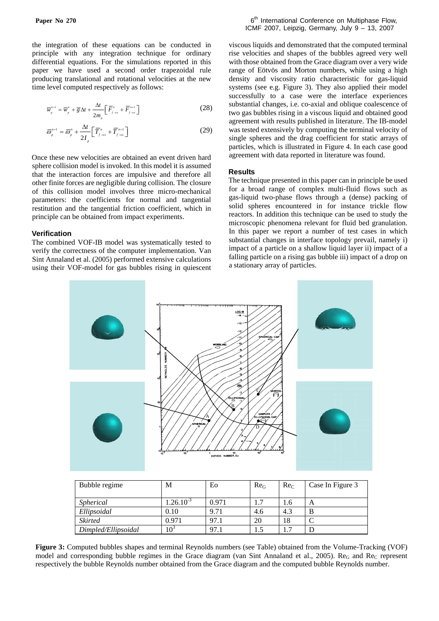the integration of these equations can be conducted in principle with any integration technique for ordinary differential equations. For the simulations reported in this paper we have used a second order trapezoidal rule producing translational and rotational velocities at the new time level computed respectively as follows:

$$
\overline{w}_{p}^{n+1} = \overline{w}_{p}^{n} + \overline{g} \Delta t + \frac{\Delta t}{2m_{p}} \left[ \overline{F}_{f \to s}^{n} + \overline{F}_{f \to s}^{n+1} \right]
$$
 (28)

$$
\overline{\omega}_p^{n+1} = \overline{\omega}_p^n + \frac{\Delta t}{2I_p} \left[ \overline{T}_{f \to s}^n + \overline{T}_{f \to s}^{n+1} \right]
$$
 (29)

Once these new velocities are obtained an event driven hard sphere collision model is invoked. In this model it is assumed that the interaction forces are impulsive and therefore all other finite forces are negligible during collision. The closure of this collision model involves three micro-mechanical parameters: the coefficients for normal and tangential restitution and the tangential friction coefficient, which in principle can be obtained from impact experiments.

### **Verification**

The combined VOF-IB model was systematically tested to verify the correctness of the computer implementation. Van Sint Annaland et al. (2005) performed extensive calculations using their VOF-model for gas bubbles rising in quiescent viscous liquids and demonstrated that the computed terminal rise velocities and shapes of the bubbles agreed very well with those obtained from the Grace diagram over a very wide range of Eötvös and Morton numbers, while using a high density and viscosity ratio characteristic for gas-liquid systems (see e.g. Figure 3). They also applied their model successfully to a case were the interface experiences substantial changes, i.e. co-axial and oblique coalescence of two gas bubbles rising in a viscous liquid and obtained good agreement with results published in literature. The IB-model was tested extensively by computing the terminal velocity of single spheres and the drag coefficient for static arrays of particles, which is illustrated in Figure 4. In each case good agreement with data reported in literature was found.

### **Results**

The technique presented in this paper can in principle be used for a broad range of complex multi-fluid flows such as gas-liquid two-phase flows through a (dense) packing of solid spheres encountered in for instance trickle flow reactors. In addition this technique can be used to study the microscopic phenomena relevant for fluid bed granulation. In this paper we report a number of test cases in which substantial changes in interface topology prevail, namely i) impact of a particle on a shallow liquid layer ii) impact of a falling particle on a rising gas bubble iii) impact of a drop on a stationary array of particles.



| Bubble regime       | M              | Eo    | Re <sub>G</sub> | Re <sub>c</sub> | Case In Figure 3 |
|---------------------|----------------|-------|-----------------|-----------------|------------------|
| <i>Spherical</i>    | $1.26.10^{-3}$ | 0.971 | 1.1             | 1.6             | А                |
| Ellipsoidal         | 0.10           | 9.71  | 4.6             | 4.3             | B                |
| <b>Skirted</b>      | 0.971          | 97.1  | 20              | 18              | ⌒                |
| Dimpled/Ellipsoidal | $10^3$         | 97.1  | 1.5             | 1.7             |                  |

**Figure 3:** Computed bubbles shapes and terminal Reynolds numbers (see Table) obtained from the Volume-Tracking (VOF) model and corresponding bubble regimes in the Grace diagram (van Sint Annaland et al., 2005). Re<sub>G</sub> and Re<sub>C</sub> represent respectively the bubble Reynolds number obtained from the Grace diagram and the computed bubble Reynolds number.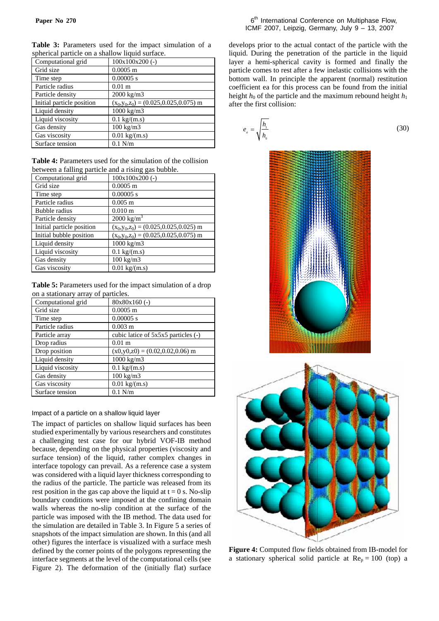| <b>Table 3:</b> Parameters used for the impact simulation of a |  |  |  |  |
|----------------------------------------------------------------|--|--|--|--|
| spherical particle on a shallow liquid surface.                |  |  |  |  |

| Computational grid        | $100x100x200$ (-)                           |
|---------------------------|---------------------------------------------|
| Grid size                 | $0.0005$ m                                  |
| Time step                 | $0.00005$ s                                 |
| Particle radius           | $0.01$ m                                    |
| Particle density          | 2000 kg/m3                                  |
| Initial particle position | $(x_0, y_0, z_0) = (0.025, 0.025, 0.075)$ m |
| Liquid density            | $1000 \text{ kg/m}$ 3                       |
| Liquid viscosity          | $0.1 \text{ kg/(m.s)}$                      |
| Gas density               | $100 \text{ kg/m}$ 3                        |
| Gas viscosity             | $0.01 \text{ kg/(m.s)}$                     |
| Surface tension           | $0.1$ N/m                                   |

**Table 4:** Parameters used for the simulation of the collision between a falling particle and a rising gas bubble.

| Computational grid        | $100x100x200$ (-)                           |
|---------------------------|---------------------------------------------|
| Grid size                 | $0.0005$ m                                  |
| Time step                 | $0.00005$ s                                 |
| Particle radius           | $0.005 \; \mathrm{m}$                       |
| Bubble radius             | $0.010 \text{ m}$                           |
| Particle density          | $2000 \text{ kg/m}^3$                       |
| Initial particle position | $(x_0, y_0, z_0) = (0.025, 0.025, 0.025)$ m |
| Initial bubble position   | $(x_0, y_0, z_0) = (0.025, 0.025, 0.075)$ m |
| Liquid density            | $1000 \text{ kg/m}$ 3                       |
| Liquid viscosity          | $0.1 \text{ kg/(m.s)}$                      |
| Gas density               | $100 \text{ kg/m}$ 3                        |
| Gas viscosity             | $0.01 \text{ kg/(m.s)}$                     |
|                           |                                             |

**Table 5:** Parameters used for the impact simulation of a drop on a stationary array of particles.

| Computational grid | $80x80x160$ (-)                     |
|--------------------|-------------------------------------|
| Grid size          | $0.0005$ m                          |
| Time step          | $0.00005$ s                         |
| Particle radius    | $0.003$ m                           |
| Particle array     | cubic latice of 5x5x5 particles (-) |
| Drop radius        | 0.01 <sub>m</sub>                   |
| Drop position      | $(x0,y0,z0) = (0.02,0.02,0.06)$ m   |
| Liquid density     | 1000 kg/m3                          |
| Liquid viscosity   | $0.1 \text{ kg/(m.s)}$              |
| Gas density        | 100 kg/m3                           |
| Gas viscosity      | $0.01 \text{ kg/(m.s)}$             |
| Surface tension    | $0.1$ N/m                           |

## Impact of a particle on a shallow liquid layer

The impact of particles on shallow liquid surfaces has been studied experimentally by various researchers and constitutes a challenging test case for our hybrid VOF-IB method because, depending on the physical properties (viscosity and surface tension) of the liquid, rather complex changes in interface topology can prevail. As a reference case a system was considered with a liquid layer thickness corresponding to the radius of the particle. The particle was released from its rest position in the gas cap above the liquid at  $t = 0$  s. No-slip boundary conditions were imposed at the confining domain walls whereas the no-slip condition at the surface of the particle was imposed with the IB method. The data used for the simulation are detailed in Table 3. In Figure 5 a series of snapshots of the impact simulation are shown. In this (and all other) figures the interface is visualized with a surface mesh defined by the corner points of the polygons representing the interface segments at the level of the computational cells (see Figure 2). The deformation of the (initially flat) surface

develops prior to the actual contact of the particle with the liquid. During the penetration of the particle in the liquid layer a hemi-spherical cavity is formed and finally the particle comes to rest after a few inelastic collisions with the bottom wall. In principle the apparent (normal) restitution coefficient ea for this process can be found from the initial height  $h_0$  of the particle and the maximum rebound height  $h_1$ after the first collision:





**Figure 4:** Computed flow fields obtained from IB-model for a stationary spherical solid particle at  $Re_p = 100$  (top) a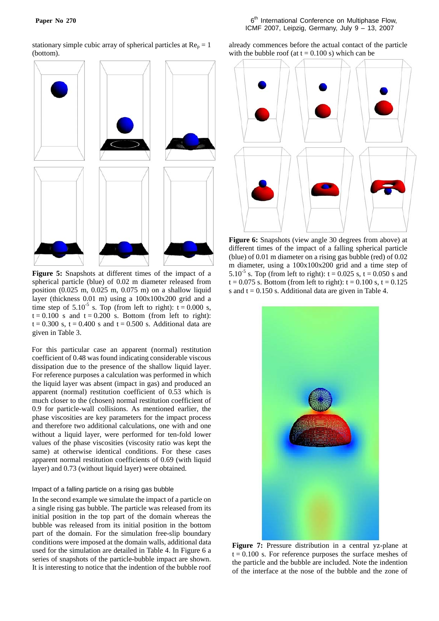stationary simple cubic array of spherical particles at  $Re_p = 1$ (bottom).



**Figure 5:** Snapshots at different times of the impact of a spherical particle (blue) of 0.02 m diameter released from position (0.025 m, 0.025 m, 0.075 m) on a shallow liquid layer (thickness 0.01 m) using a 100x100x200 grid and a time step of  $5.10^{-5}$  s. Top (from left to right):  $t = 0.000$  s,  $t = 0.100$  s and  $t = 0.200$  s. Bottom (from left to right):  $t = 0.300$  s,  $t = 0.400$  s and  $t = 0.500$  s. Additional data are given in Table 3.

For this particular case an apparent (normal) restitution coefficient of 0.48 was found indicating considerable viscous dissipation due to the presence of the shallow liquid layer. For reference purposes a calculation was performed in which the liquid layer was absent (impact in gas) and produced an apparent (normal) restitution coefficient of 0.53 which is much closer to the (chosen) normal restitution coefficient of 0.9 for particle-wall collisions. As mentioned earlier, the phase viscosities are key parameters for the impact process and therefore two additional calculations, one with and one without a liquid layer, were performed for ten-fold lower values of the phase viscosities (viscosity ratio was kept the same) at otherwise identical conditions. For these cases apparent normal restitution coefficients of 0.69 (with liquid layer) and 0.73 (without liquid layer) were obtained.

## Impact of a falling particle on a rising gas bubble

In the second example we simulate the impact of a particle on a single rising gas bubble. The particle was released from its initial position in the top part of the domain whereas the bubble was released from its initial position in the bottom part of the domain. For the simulation free-slip boundary conditions were imposed at the domain walls, additional data used for the simulation are detailed in Table 4. In Figure 6 a series of snapshots of the particle-bubble impact are shown. It is interesting to notice that the indention of the bubble roof already commences before the actual contact of the particle with the bubble roof (at  $t = 0.100$  s) which can be



**Figure 6:** Snapshots (view angle 30 degrees from above) at different times of the impact of a falling spherical particle (blue) of 0.01 m diameter on a rising gas bubble (red) of 0.02 m diameter, using a 100x100x200 grid and a time step of 5.10<sup>-5</sup> s. Top (from left to right):  $t = 0.025$  s,  $t = 0.050$  s and  $t = 0.075$  s. Bottom (from left to right):  $t = 0.100$  s,  $t = 0.125$ s and  $t = 0.150$  s. Additional data are given in Table 4.



**Figure 7:** Pressure distribution in a central yz-plane at  $t = 0.100$  s. For reference purposes the surface meshes of the particle and the bubble are included. Note the indention of the interface at the nose of the bubble and the zone of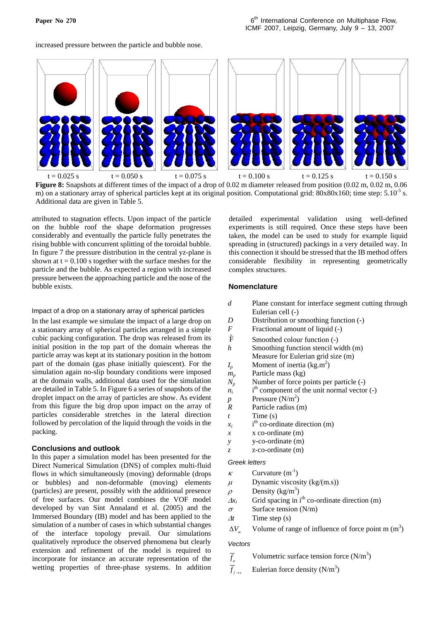increased pressure between the particle and bubble nose.



**Figure 8:** Snapshots at different times of the impact of a drop of 0.02 m diameter released from position (0.02 m, 0.02 m, 0.06 m) on a stationary array of spherical particles kept at its original position. Computational grid:  $80x80x160$ ; time step:  $5.10<sup>-5</sup>$  s. Additional data are given in Table 5.

attributed to stagnation effects. Upon impact of the particle on the bubble roof the shape deformation progresses considerably and eventually the particle fully penetrates the rising bubble with concurrent splitting of the toroidal bubble. In figure 7 the pressure distribution in the central yz-plane is shown at  $t = 0.100$  s together with the surface meshes for the particle and the bubble. As expected a region with increased pressure between the approaching particle and the nose of the bubble exists.

#### Impact of a drop on a stationary array of spherical particles

In the last example we simulate the impact of a large drop on a stationary array of spherical particles arranged in a simple cubic packing configuration. The drop was released from its initial position in the top part of the domain whereas the particle array was kept at its stationary position in the bottom part of the domain (gas phase initially quiescent). For the simulation again no-slip boundary conditions were imposed at the domain walls, additional data used for the simulation are detailed in Table 5. In Figure 6 a series of snapshots of the droplet impact on the array of particles are show. As evident from this figure the big drop upon impact on the array of particles considerable stretches in the lateral direction followed by percolation of the liquid through the voids in the packing.

## **Conclusions and outlook**

In this paper a simulation model has been presented for the Direct Numerical Simulation (DNS) of complex multi-fluid flows in which simultaneously (moving) deformable (drops or bubbles) and non-deformable (moving) elements (particles) are present, possibly with the additional presence of free surfaces. Our model combines the VOF model developed by van Sint Annaland et al. (2005) and the Immersed Boundary (IB) model and has been applied to the simulation of a number of cases in which substantial changes of the interface topology prevail. Our simulations qualitatively reproduce the observed phenomena but clearly extension and refinement of the model is required to incorporate for instance an accurate representation of the wetting properties of three-phase systems. In addition

detailed experimental validation using well-defined experiments is still required. Once these steps have been taken, the model can be used to study for example liquid spreading in (structured) packings in a very detailed way. In this connection it should be stressed that the IB method offers considerable flexibility in representing geometrically complex structures.

## **Nomenclature**

- *d* Plane constant for interface segment cutting through Eulerian cell (-)
- *D* Distribution or smoothing function (-)
- *F* Fractional amount of liquid (-)
- $\tilde{F}$ Smoothed colour function (-)
- *h* Smoothing function stencil width (m) Measure for Eulerian grid size (m)
- $I_p$  Moment of inertia (kg.m<sup>2</sup>)
- *mp* Particle mass (kg)
- *N<sub>p</sub>* Number of force points per particle (-)
- $n_i$  $i<sup>th</sup>$  component of the unit normal vector  $(-)$
- *p* Pressure  $(N/m^2)$
- *R* Particle radius (m)
- *t* Time (s)
- $x_i$  $i<sup>th</sup>$  co-ordinate direction (m)
- *x* x co-ordinate (m)
- *y* y-co-ordinate (m)
- *z* z-co-ordinate (m)

### *Greek letters*

- $\kappa$  Curvature (m<sup>-1</sup>)
- $\mu$  Dynamic viscosity (kg/(m.s))
- $\rho$  Density (kg/m<sup>3</sup>)
- $\Delta x_i$  Grid spacing in i<sup>th</sup> co-ordinate direction (m)
- $\sigma$  Surface tension (N/m)
- <sup>Δ</sup>*t* Time step (s)
- $\Delta V_m$  Volume of range of influence of force point m (m<sup>3</sup>)

## *Vectors*

 $\overline{f}_{\sigma}$ Volumetric surface tension force  $(N/m^3)$ 

 $\overline{f}_{f \to s}$  Eulerian force density (N/m<sup>3</sup>)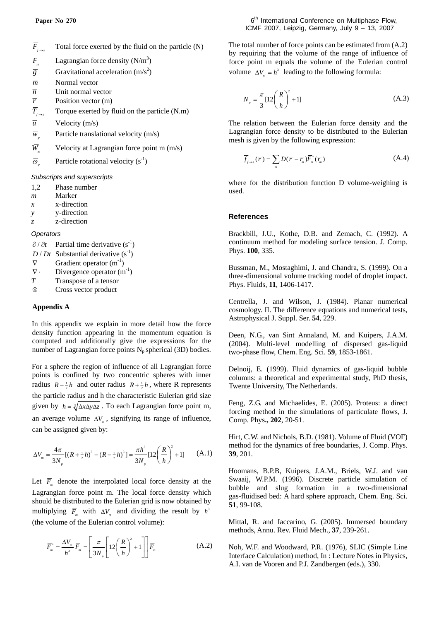| $F_{\scriptscriptstyle f \rightarrow s}$ | Total force exerted by the fluid on the particle (N) |
|------------------------------------------|------------------------------------------------------|
|                                          |                                                      |

- $\overline{F}_m$  Lagrangian force density (N/m<sup>3</sup>)
- $\overline{g}$  Gravitational acceleration (m/s<sup>2</sup>)
- $\overline{m}$  Normal vector
- $\overline{n}$  Unit normal vector
- 
- $\overline{r}$  Position vector (m)<br> $\overline{T}_{r+s}$  Torque exerted by 1 *f Torque exerted by fluid on the particle* (N.m)
- $\overline{u}$  Velocity (m/s)
- $\overline{w}$  Particle translational velocity (m/s)
- $\overline{W}$  Velocity at Lagrangian force point m (m/s)
- $\overline{\omega}_n$  Particle rotational velocity (s<sup>-1</sup>)

*Subscripts and superscripts* 

- 1,2 Phase number
- *m* Marker
- *x* x-direction
- *y* y-direction
- *z* z-direction

### *Operators*

 $\partial/\partial t$  Partial time derivative (s<sup>-1</sup>)

- $D/Dt$  Substantial derivative (s<sup>-1</sup>)
- $\nabla$  Gradient operator  $(m^{-1})$
- $\nabla \cdot$  Divergence operator  $(m^{-1})$
- *T* Transpose of a tensor
- ⊗ Cross vector product

## **Appendix A**

In this appendix we explain in more detail how the force density function appearing in the momentum equation is computed and additionally give the expressions for the number of Lagrangian force points  $N_p$  spherical (3D) bodies.

For a sphere the region of influence of all Lagrangian force points is confined by two concentric spheres with inner radius  $R - \frac{1}{2}h$  and outer radius  $R + \frac{1}{2}h$ , where R represents the particle radius and h the characteristic Eulerian grid size given by  $h = \sqrt[3]{\Delta x \Delta y \Delta z}$ . To each Lagrangian force point m, an average volume  $\Delta V_m$ , signifying its range of influence, can be assigned given by:

$$
\Delta V_{m} = \frac{4\pi}{3N_{p}} [(R + \frac{1}{2}h)^{3} - (R - \frac{1}{2}h)^{3}] = \frac{\pi h^{3}}{3N_{p}} [12\left(\frac{R}{h}\right)^{2} + 1] \tag{A.1}
$$

Let  $\overline{F}$  denote the interpolated local force density at the Lagrangian force point m. The local force density which should be distributed to the Eulerian grid is now obtained by multiplying  $\overline{F}_m$  with  $\Delta V_m$  and dividing the result by  $h^3$ (the volume of the Eulerian control volume):

$$
\overline{F}_m^* = \frac{\Delta V_m}{h^3} \overline{F}_m = \left[ \frac{\pi}{3N_p} \left[ 12 \left( \frac{R}{h} \right)^2 + 1 \right] \right] \overline{F}_m \tag{A.2}
$$

The total number of force points can be estimated from (A.2) by requiring that the volume of the range of influence of force point m equals the volume of the Eulerian control volume  $\Delta V_m = h^3$  leading to the following formula:

$$
N_p = \frac{\pi}{3} [12 \left( \frac{R}{h} \right)^2 + 1] \tag{A.3}
$$

The relation between the Eulerian force density and the Lagrangian force density to be distributed to the Eulerian mesh is given by the following expression:

$$
\overline{f}_{f \to s}(\overline{r}) = \sum_{m} D(\overline{r} - \overline{r}_{m}) \overline{F}_{m}^{*}(\overline{r}_{m})
$$
\n(A.4)

where for the distribution function D volume-weighing is used.

### **References**

Brackbill, J.U., Kothe, D.B. and Zemach, C. (1992). A continuum method for modeling surface tension. J. Comp. Phys. **100**, 335.

Bussman, M., Mostaghimi, J. and Chandra, S. (1999). On a three-dimensional volume tracking model of droplet impact. Phys. Fluids, **11**, 1406-1417.

Centrella, J. and Wilson, J. (1984). Planar numerical cosmology. II. The difference equations and numerical tests, Astrophysical J. Suppl. Ser. **54**, 229.

Deen, N.G., van Sint Annaland, M. and Kuipers, J.A.M. (2004). Multi-level modelling of dispersed gas-liquid two-phase flow, Chem. Eng. Sci. **59**, 1853-1861.

Delnoij, E. (1999). Fluid dynamics of gas-liquid bubble columns: a theoretical and experimental study, PhD thesis, Twente University, The Netherlands.

Feng, Z.G. and Michaelides, E. (2005). Proteus: a direct forcing method in the simulations of particulate flows, J. Comp. Phys**., 202**, 20-51.

Hirt, C.W. and Nichols, B.D. (1981). Volume of Fluid (VOF) method for the dynamics of free boundaries, J. Comp. Phys. **39**, 201.

Hoomans, B.P.B, Kuipers, J.A.M., Briels, W.J. and van Swaaij, W.P.M. (1996). Discrete particle simulation of bubble and slug formation in a two-dimensional gas-fluidised bed: A hard sphere approach, Chem. Eng. Sci. **51**, 99-108.

Mittal, R. and Iaccarino, G. (2005). Immersed boundary methods, Annu. Rev. Fluid Mech., **37**, 239-261.

Noh, W.F. and Woodward, P.R. (1976), SLIC (Simple Line Interface Calculation) method, In : Lecture Notes in Physics, A.I. van de Vooren and P.J. Zandbergen (eds.), 330.